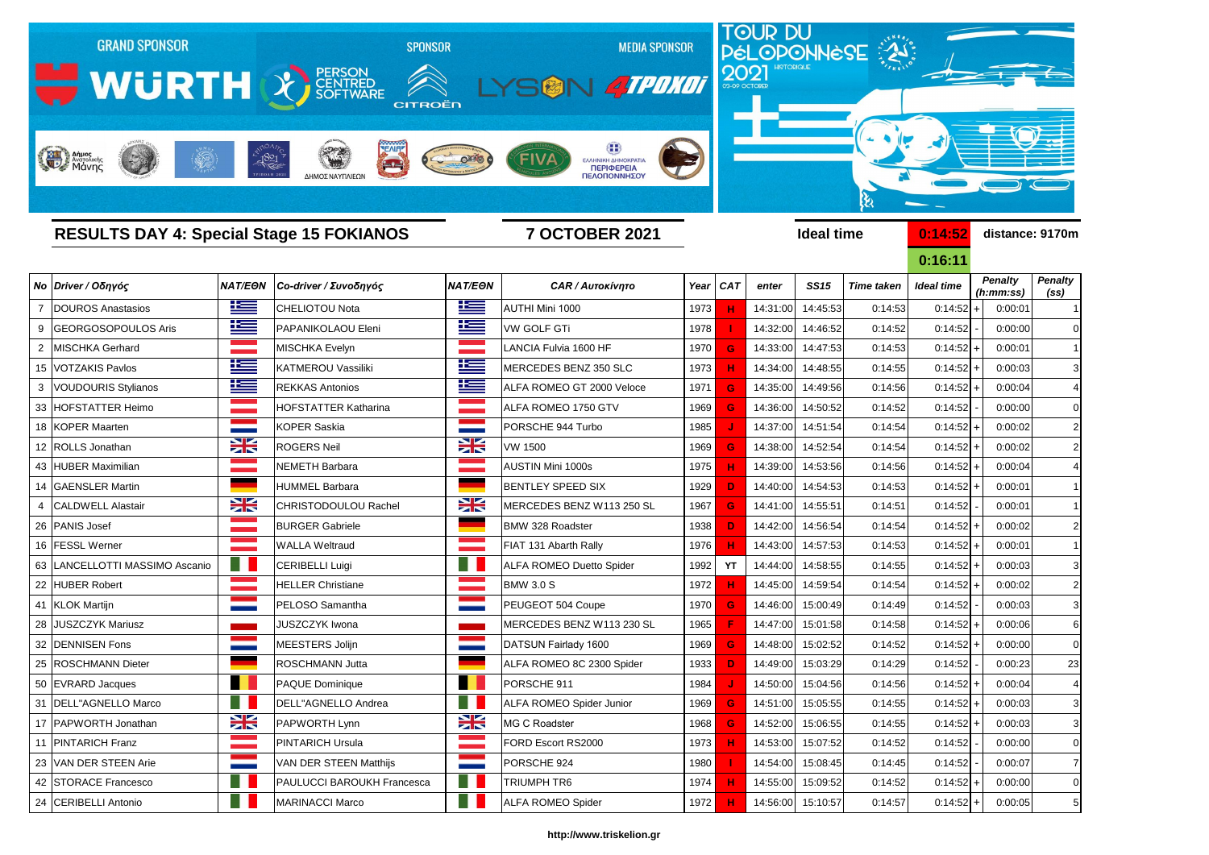

|    |                                  |                |                                   |                      |                                 |      |            |          |                   |                   | <u>0:16:11</u>    |                             |                                     |
|----|----------------------------------|----------------|-----------------------------------|----------------------|---------------------------------|------|------------|----------|-------------------|-------------------|-------------------|-----------------------------|-------------------------------------|
|    | Νο Driver / Οδηγός               | <b>NAT/EON</b> | Co-driver / Συνοδηγός             | <b>NAT/EON</b>       | <b>CAR / Αυτοκίνητο</b>         | Year | <b>CAT</b> | enter    | <b>SS15</b>       | <b>Time taken</b> | <b>Ideal time</b> | <b>Penalty</b><br>(h:mm:ss) | <b>Penalty</b><br>(s <sub>s</sub> ) |
|    | <b>DOUROS Anastasios</b>         | 些              | <b>ICHELIOTOU Nota</b>            | 些                    | AUTHI Mini 1000                 | 1973 |            | 14:31:00 | 14:45:53          | 0:14:53           | 0:14:52           | 0:00:01<br>$\overline{+}$   |                                     |
|    | GEORGOSOPOULOS Aris              | <u>is –</u>    | <b>PAPANIKOLAOU Eleni</b>         | 些                    | <b>VW GOLF GTi</b>              | 1978 |            | 14:32:00 | 14:46:52          | 0:14:52           | 0:14:52           | 0:00:00                     | $\mathbf 0$                         |
|    | MISCHKA Gerhard                  |                | <b>MISCHKA Evelyn</b>             | a a shekara          | <b>ANCIA Fulvia 1600 HF</b>     | 1970 | G          | 14:33:00 | 14:47:53          | 0:14:53           | 0:14:52           | 0:00:01<br>$\overline{1}$   |                                     |
|    | 15   VOTZAKIS Pavlos             | <u>ik s</u>    | KATMEROU Vassiliki                | <u>ik –</u>          | MERCEDES BENZ 350 SLC           | 1973 |            | 14:34:00 | 14:48:55          | 0:14:55           | $0:14:52$ +       | 0:00:03                     | 3                                   |
|    | 3   VOUDOURIS Stylianos          | <u>resp</u>    | <b>REKKAS Antonios</b>            | <u>k </u>            | ALFA ROMEO GT 2000 Veloce       | 1971 | G          | 14:35:00 | 14:49:56          | 0:14:56           | 0:14:52           | 0:00:04<br>$\overline{+}$   | 4                                   |
|    | 33 HOFSTATTER Heimo              |                | <b>HOFSTATTER Katharina</b>       | <u> Tan</u>          | ALFA ROMEO 1750 GTV             | 1969 | G          | 14:36:00 | 14:50:52          | 0:14:52           | 0:14:52           | 0:00:00                     |                                     |
|    | 18 KOPER Maarten                 |                | KOPER Saskia                      |                      | PORSCHE 944 Turbo               | 1985 |            | 14:37:00 | 14:51:54          | 0:14:54           | 0:14:52           | 0:00:02<br>$\overline{+}$   | $\overline{c}$                      |
|    | 12 ROLLS Jonathan                | X              | <b>ROGERS Neil</b>                | NZ<br>$\blacksquare$ | <b>VW 1500</b>                  | 1969 | G          | 14:38:00 | 14:52:54          | 0:14:54           | 0:14:52           | 0:00:02<br>$\overline{+}$   | $\overline{2}$                      |
|    | 43 HUBER Maximilian              |                | NEMETH Barbara                    | a provincia          | <b>AUSTIN Mini 1000s</b>        | 1975 | н          | 14:39:00 | 14:53:56          | 0:14:56           | $0:14:52$ +       | 0:00:04                     |                                     |
|    | 14 GAENSLER Martin               |                | <b>HUMMEL Barbara</b>             |                      | <b>BENTLEY SPEED SIX</b>        | 1929 | D          | 14:40:00 | 14:54:53          | 0:14:53           | 0:14:52           | 0:00:01<br>$\overline{+}$   |                                     |
|    | <b>CALDWELL Alastair</b>         | XK             | CHRISTODOULOU Rachel              | XK                   | MERCEDES BENZ W113 250 SL       | 1967 | G          | 14:41:00 | 14:55:51          | 0:14:51           | 0:14:52           | 0:00:01                     |                                     |
|    | 26 PANIS Josef                   |                | <b>BURGER Gabriele</b>            |                      | <b>BMW 328 Roadster</b>         | 1938 | D          | 14:42:00 | 14:56:54          | 0:14:54           | $0:14:52$ +       | 0:00:02                     | $\overline{2}$                      |
|    | 16 FESSL Werner                  |                | <b>WALLA Weltraud</b>             |                      | FIAT 131 Abarth Rally           | 1976 | н          | 14:43:00 | 14:57:53          | 0:14:53           | $0:14:52$ +       | 0:00:01                     |                                     |
|    | 63   LANCELLOTTI MASSIMO Ascanio | n B            | <b>CERIBELLI Luigi</b>            | $\blacksquare$       | <b>ALFA ROMEO Duetto Spider</b> | 1992 | <b>YT</b>  | 14:44:00 | 14:58:55          | 0:14:55           | 0:14:52           | 0:00:03<br>$\overline{+}$   | 3                                   |
|    | 22 HUBER Robert                  |                | <b>HELLER Christiane</b>          |                      | <b>BMW 3.0 S</b>                | 1972 | н          | 14:45:00 | 14:59:54          | 0:14:54           | 0:14:52           | 0:00:02                     | $\overline{2}$                      |
|    | 41 KLOK Martijn                  |                | PELOSO Samantha                   |                      | PEUGEOT 504 Coupe               | 1970 | G          | 14:46:00 | 15:00:49          | 0:14:49           | 0:14:52           | 0:00:03                     | 3                                   |
| 28 | <b>JUSZCZYK Mariusz</b>          |                | <b>JUSZCZYK Iwona</b>             |                      | MERCEDES BENZ W113 230 SL       | 1965 |            | 14:47:00 | 15:01:58          | 0:14:58           | 0:14:52           | 0:00:06<br>$\overline{+}$   | 6                                   |
|    | 32 DENNISEN Fons                 |                | MEESTERS Jolijn                   |                      | DATSUN Fairlady 1600            | 1969 | G          | 14:48:00 | 15:02:52          | 0:14:52           | 0:14:52           | 0:00:00<br>$\overline{1}$   |                                     |
|    | 25   ROSCHMANN Dieter            |                | <b>ROSCHMANN Jutta</b>            |                      | ALFA ROMEO 8C 2300 Spider       | 1933 | D          | 14:49:00 | 15:03:29          | 0:14:29           | 0:14:52           | 0:00:23                     | 23                                  |
|    | 50 EVRARD Jacques                |                | PAQUE Dominique                   |                      | PORSCHE 911                     | 1984 |            | 14:50:00 | 15:04:56          | 0:14:56           | 0:14:52           | 0:00:04<br>$\overline{1}$   |                                     |
|    | 31 DELL"AGNELLO Marco            |                | DELL"AGNELLO Andrea               |                      | <b>ALFA ROMEO Spider Junior</b> | 1969 | G          | 14:51:00 | 15:05:55          | 0:14:55           | 0:14:52           | 0:00:03<br>$\ddot{}$        | 3                                   |
|    | 17 PAPWORTH Jonathan             | X              | PAPWORTH Lynn                     | X                    | MG C Roadster                   | 1968 | G          | 14:52:00 | 15:06:55          | 0:14:55           | $0:14:52$ +       | 0:00:03                     | 3                                   |
|    | 11 PINTARICH Franz               |                | <b>PINTARICH Ursula</b>           | an sa T              | FORD Escort RS2000              | 1973 | н          | 14:53:00 | 15:07:52          | 0:14:52           | 0:14:52           | 0:00:00                     | $\mathbf 0$                         |
|    | 23 VAN DER STEEN Arie            |                | VAN DER STEEN Matthijs            | <b>STATE</b>         | PORSCHE 924                     | 1980 |            | 14:54:00 | 15:08:45          | 0:14:45           | 0:14:52           | 0:00:07                     | 7                                   |
|    | 42 STORACE Francesco             | a n            | <b>PAULUCCI BAROUKH Francesca</b> | H.                   | <b>TRIUMPH TR6</b>              | 1974 | H.         | 14:55:00 | 15:09:52          | 0:14:52           | $0:14:52$ +       | 0:00:00                     | $\mathbf 0$                         |
|    | 24 CERIBELLI Antonio             |                | <b>MARINACCI Marco</b>            | <u>e li</u>          | <b>ALFA ROMEO Spider</b>        | 1972 | н          |          | 14:56:00 15:10:57 | 0:14:57           | $0:14:52$ +       | 0:00:05                     | 5                                   |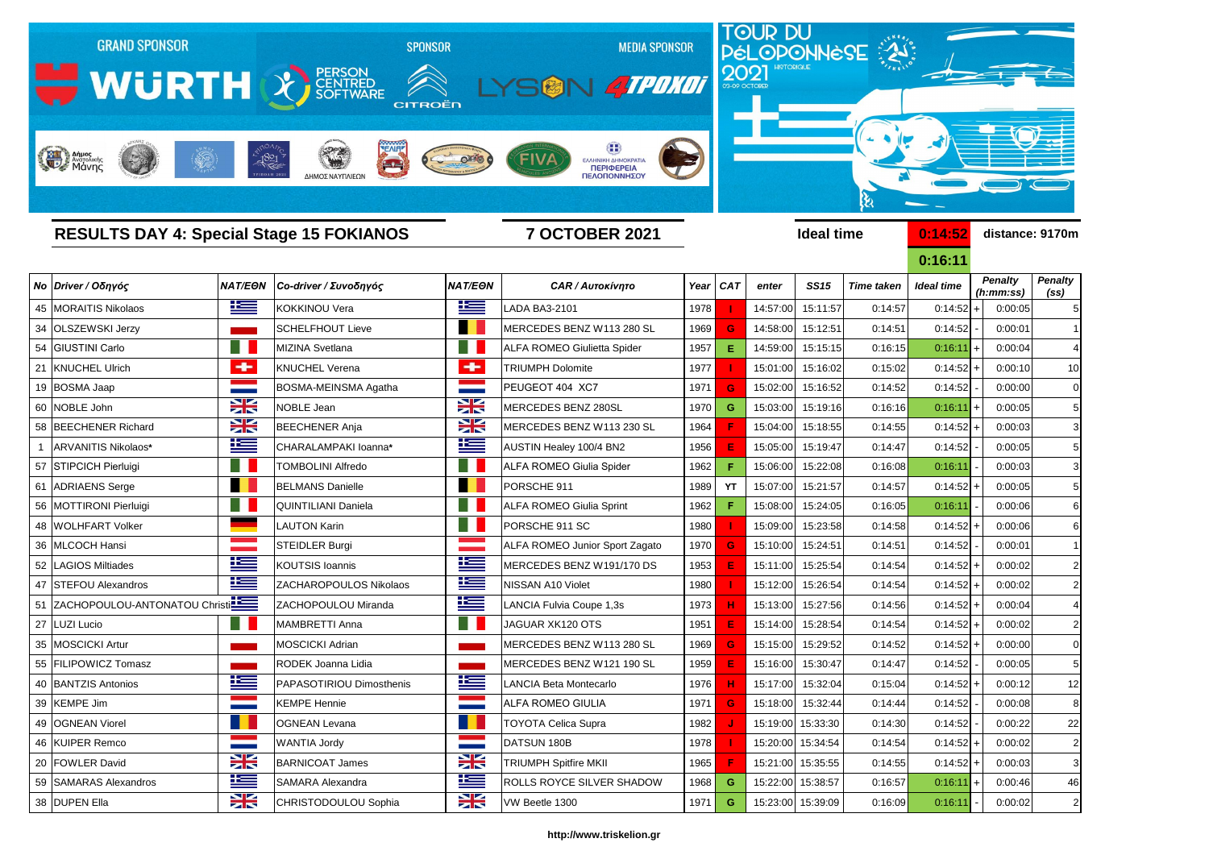

|                | <b>RESULTS DAY 4: Special Stage 15 FOKIANOS</b> |                                                                                                                                                                                                                                           |                            |                        | <b>7 OCTOBER 2021</b>                 |      |            |          | <b>Ideal time</b> | 0:14:52           | distance: 9170m |                                     |                                     |
|----------------|-------------------------------------------------|-------------------------------------------------------------------------------------------------------------------------------------------------------------------------------------------------------------------------------------------|----------------------------|------------------------|---------------------------------------|------|------------|----------|-------------------|-------------------|-----------------|-------------------------------------|-------------------------------------|
|                |                                                 |                                                                                                                                                                                                                                           |                            |                        |                                       |      |            |          |                   |                   | 0:16:11         |                                     |                                     |
|                | Νο Driver / Οδηγός                              | <b>NAT/EON</b>                                                                                                                                                                                                                            | Co-driver / Συνοδηγός      | <b>NAT/EON</b>         | <b>CAR / Αυτοκίνητο</b>               |      | Year   CAT | enter    | <b>SS15</b>       | <b>Time taken</b> | Ideal time      | <b>Penalty</b><br>(h:mm:ss)         | <b>Penalty</b><br>(s <sub>s</sub> ) |
|                | 45   MORAITIS Nikolaos                          | <u>ik s</u>                                                                                                                                                                                                                               | <b>KOKKINOU Vera</b>       | <u>is s</u>            | LADA BA3-2101                         | 1978 |            | 14:57:00 | 15:11:57          | 0:14:57           | 0:14:52         | 0:00:05                             |                                     |
|                | 34 OLSZEWSKI Jerzy                              |                                                                                                                                                                                                                                           | <b>SCHELFHOUT Lieve</b>    | . .                    | <b>MERCEDES BENZ W113 280 SL</b>      | 1969 | G          | 14:58:00 | 15:12:51          | 0:14:51           | 0:14:52         | 0:00:01                             |                                     |
|                | 54 GIUSTINI Carlo                               | H.                                                                                                                                                                                                                                        | MIZINA Svetlana            | H                      | <b>ALFA ROMEO Giulietta Spider</b>    | 1957 | Е          | 14:59:00 | 15:15:15          | 0:16:15           | 0:16:11         | 0:00:04<br>$\pm$                    |                                     |
|                | 21 KNUCHEL Ulrich                               | ÷                                                                                                                                                                                                                                         | <b>KNUCHEL Verena</b>      | ÷                      | <b>TRIUMPH Dolomite</b>               | 1977 |            | 15:01:00 | 15:16:02          | 0:15:02           | 0:14:52         | 0:00:10                             | 10                                  |
|                | 19 BOSMA Jaap                                   |                                                                                                                                                                                                                                           | BOSMA-MEINSMA Agatha       |                        | PEUGEOT 404 XC7                       | 1971 | G          | 15:02:00 | 15:16:52          | 0:14:52           | 0:14:52         | 0:00:00                             | 0                                   |
|                | 60 NOBLE John                                   | $\frac{1}{2}$                                                                                                                                                                                                                             | <b>NOBLE Jean</b>          | X                      | MERCEDES BENZ 280SL                   | 1970 | G          | 15:03:00 | 15:19:16          | 0:16:16           | $0:16:11$ +     | 0:00:05                             |                                     |
|                | 58 BEECHENER Richard                            | $\frac{1}{2}$                                                                                                                                                                                                                             | <b>BEECHENER Anja</b>      | $\frac{1}{2}$          | MERCEDES BENZ W113 230 SL             | 1964 |            | 15:04:00 | 15:18:55          | 0:14:55           | 0:14:52         | 0:00:03                             |                                     |
| $\overline{1}$ | ARVANITIS Nikolaos*                             | 些                                                                                                                                                                                                                                         | CHARALAMPAKI Ioanna*       | 些                      | AUSTIN Healey 100/4 BN2               | 1956 |            | 15:05:00 | 15:19:47          | 0:14:47           | 0:14:52         | 0:00:05                             |                                     |
|                | 57 STIPCICH Pierluigi                           |                                                                                                                                                                                                                                           | <b>TOMBOLINI Alfredo</b>   | H I                    | <b>ALFA ROMEO Giulia Spider</b>       | 1962 |            | 15:06:00 | 15:22:08          | 0:16:08           | 0:16:11         | 0:00:03                             |                                     |
|                | 61 ADRIAENS Serge                               | n.                                                                                                                                                                                                                                        | <b>BELMANS Danielle</b>    | H.                     | PORSCHE 911                           | 1989 | YT         | 15:07:00 | 15:21:57          | 0:14:57           | 0:14:52         | 0:00:05                             |                                     |
|                | 56 MOTTIRONI Pierluigi                          |                                                                                                                                                                                                                                           | <b>QUINTILIANI Daniela</b> |                        | <b>ALFA ROMEO Giulia Sprint</b>       | 1962 |            | 15:08:00 | 15:24:05          | 0:16:05           | 0:16:11         | 0:00:06                             |                                     |
|                | 48 WOLHFART Volker                              |                                                                                                                                                                                                                                           | LAUTON Karin               | M.                     | PORSCHE 911 SC                        | 1980 |            | 15:09:00 | 15:23:58          | 0:14:58           | 0:14:52         | 0:00:06                             |                                     |
|                | 36 MLCOCH Hansi                                 |                                                                                                                                                                                                                                           | <b>STEIDLER Burgi</b>      |                        | <b>ALFA ROMEO Junior Sport Zagato</b> | 1970 | G          | 15:10:00 | 15:24:51          | 0:14:51           | 0:14:52         | 0:00:01                             |                                     |
|                | 52 LAGIOS Miltiades                             | 些                                                                                                                                                                                                                                         | <b>KOUTSIS Ioannis</b>     | 些                      | MERCEDES BENZ W191/170 DS             | 1953 |            | 15:11:00 | 15:25:54          | 0:14:54           | 0:14:52         | 0:00:02                             |                                     |
|                | 47 STEFOU Alexandros                            | <u>12 = 1</u>                                                                                                                                                                                                                             | ZACHAROPOULOS Nikolaos     | <u>ik –</u>            | <b>NISSAN A10 Violet</b>              | 1980 |            | 15:12:00 | 15:26:54          | 0:14:54           | 0:14:52         | 0:00:02                             |                                     |
|                | 51 ZACHOPOULOU-ANTONATOU Christi                |                                                                                                                                                                                                                                           | ZACHOPOULOU Miranda        | <u>ik –</u>            | LANCIA Fulvia Coupe 1,3s              | 1973 |            | 15:13:00 | 15:27:56          | 0:14:56           | 0:14:52         | 0:00:04                             |                                     |
|                | 27 LUZI Lucio                                   |                                                                                                                                                                                                                                           | MAMBRETTI Anna             | H.                     | JAGUAR XK120 OTS                      | 1951 |            | 15:14:00 | 15:28:54          | 0:14:54           | 0:14:52         | 0:00:02                             |                                     |
|                | 35 MOSCICKI Artur                               |                                                                                                                                                                                                                                           | <b>MOSCICKI Adrian</b>     |                        | MERCEDES BENZ W113 280 SL             | 1969 | G          | 15:15:00 | 15:29:52          | 0:14:52           | 0:14:52         | 0:00:00                             |                                     |
|                | 55 FILIPOWICZ Tomasz                            |                                                                                                                                                                                                                                           | RODEK Joanna Lidia         |                        | MERCEDES BENZ W121 190 SL             | 1959 |            | 15:16:00 | 15:30:47          | 0:14:47           | 0:14:52         | 0:00:05                             |                                     |
|                | 40 BANTZIS Antonios                             | Ñ<br><u> Hermann and Barnett and Barnett and Barnett and Barnett and Barnett and Barnett and Barnett and Barnett and Barnett and Barnett and Barnett and Barnett and Barnett and Barnett and Barnett and Barnett and Barnett and Barn</u> | PAPASOTIRIOU Dimosthenis   | Ñ<br>$\equiv$ $\equiv$ | LANCIA Beta Montecarlo                | 1976 | H          |          | 15:17:00 15:32:04 | 0:15:04           | $0:14:52$ +     | 0:00:12                             | 12                                  |
|                | 39 KEMPE Jim                                    |                                                                                                                                                                                                                                           | <b>KEMPE Hennie</b>        | <b>STATISTICS</b>      | <b>ALFA ROMEO GIULIA</b>              | 1971 | G          | 15:18:00 | 15:32:44          | 0:14:44           | 0:14:52         | 0:00:08                             | 8                                   |
|                | 49 OGNEAN Viorel                                |                                                                                                                                                                                                                                           | <b>OGNEAN Levana</b>       | H.                     | <b>TOYOTA Celica Supra</b>            | 1982 |            |          | 15:19:00 15:33:30 | 0:14:30           | 0:14:52         | 0:00:22                             | 22                                  |
|                | 46 KUIPER Remco                                 |                                                                                                                                                                                                                                           | <b>WANTIA Jordy</b>        | <b>Contract</b>        | DATSUN 180B                           | 1978 |            |          | 15:20:00 15:34:54 | 0:14:54           | 0:14:52         | 0:00:02<br>$\overline{\phantom{a}}$ | $\overline{2}$                      |
|                | 20 FOWLER David                                 | $\frac{1}{2}$                                                                                                                                                                                                                             | <b>BARNICOAT James</b>     | $\frac{1}{2}$          | <b>TRIUMPH Spitfire MKII</b>          | 1965 |            |          | 15:21:00 15:35:55 | 0:14:55           | $0:14:52$ +     | 0:00:03                             | 3                                   |
|                | 59 SAMARAS Alexandros                           | <u>ik s</u>                                                                                                                                                                                                                               | <b>SAMARA Alexandra</b>    | <u>ik s</u>            | ROLLS ROYCE SILVER SHADOW             | 1968 | G          |          | 15:22:00 15:38:57 | 0:16:57           | $0:16:11$ +     | 0:00:46                             | 46                                  |
|                | 38 DUPEN Ella                                   | $\frac{1}{\sqrt{2}}$                                                                                                                                                                                                                      | CHRISTODOULOU Sophia       | $\frac{1}{2}$          | VW Beetle 1300                        | 1971 | G          |          | 15:23:00 15:39:09 | 0:16:09           | 0:16:11         | 0:00:02                             | $\overline{2}$                      |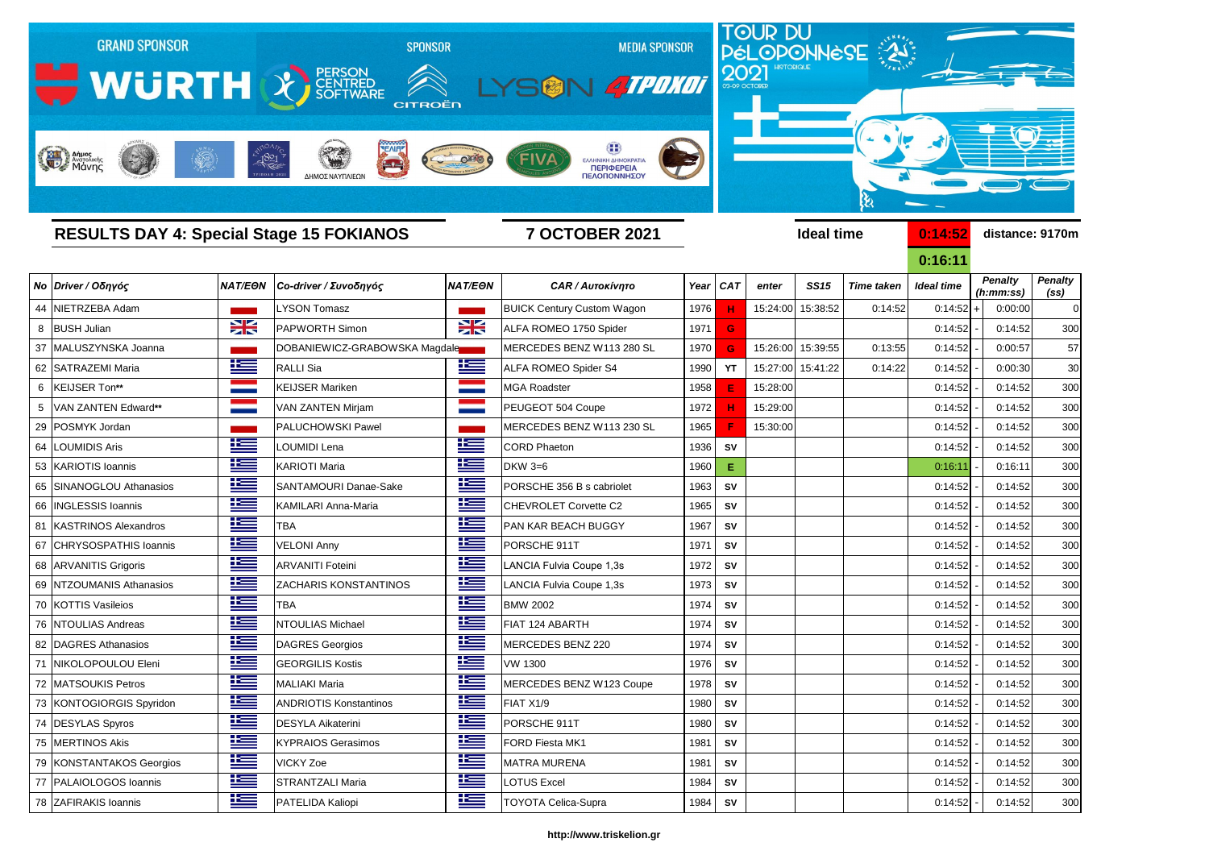

**0:16:11** *Penalty (ss) Penalty (h:mm:ss)*

|    |                            |                |                               |                |                                   |      |            |          |                   |                   | <b>UHOHI</b>      |                             |                                     |
|----|----------------------------|----------------|-------------------------------|----------------|-----------------------------------|------|------------|----------|-------------------|-------------------|-------------------|-----------------------------|-------------------------------------|
|    | Νο Driver / Οδηγός         | <b>NAT/EON</b> | Co-driver / Συνοδηγός         | <b>NAT/EON</b> | <b>CAR / Αυτοκίνητο</b>           | Year | <b>CAT</b> | enter    | <b>SS15</b>       | <b>Time taken</b> | <b>Ideal time</b> | <b>Penalty</b><br>(h:mm:ss) | <b>Penalty</b><br>(s <sub>s</sub> ) |
| 44 | NIETRZEBA Adam             |                | LYSON Tomasz                  |                | <b>BUICK Century Custom Wagon</b> | 1976 | н          |          | 15:24:00 15:38:52 | 0:14:52           | $0:14:52$ +       | 0:00:00                     | $\mathsf{C}$                        |
|    | 8 BUSH Julian              | X              | <b>PAPWORTH Simon</b>         | X              | ALFA ROMEO 1750 Spider            | 1971 | G          |          |                   |                   | 0:14:52           | 0:14:52                     | 300                                 |
|    | 37 MALUSZYNSKA Joanna      |                | DOBANIEWICZ-GRABOWSKA Magdale |                | MERCEDES BENZ W113 280 SL         | 1970 | G          | 15:26:00 | 15:39:55          | 0:13:55           | 0:14:52           | 0:00:57                     | 57                                  |
|    | 62 SATRAZEMI Maria         | <u>is – </u>   | <b>RALLI Sia</b>              | 上三             | <b>ALFA ROMEO Spider S4</b>       | 1990 | <b>YT</b>  | 15:27:00 | 15:41:22          | 0:14:22           | 0:14:52           | 0:00:30                     | 3 <sub>C</sub>                      |
| 6  | KEIJSER Ton**              |                | <b>KEIJSER Mariken</b>        |                | <b>MGA Roadster</b>               | 1958 | Е          | 15:28:00 |                   |                   | 0:14:52           | 0:14:52                     | <b>300</b>                          |
|    | <b>VAN ZANTEN Edward**</b> |                | <b>VAN ZANTEN Mirjam</b>      |                | PEUGEOT 504 Coupe                 | 1972 |            | 15:29:00 |                   |                   | 0:14:52           | 0:14:52                     | 300                                 |
|    | 29 POSMYK Jordan           |                | <b>PALUCHOWSKI Pawel</b>      |                | MERCEDES BENZ W113 230 SL         | 1965 |            | 15:30:00 |                   |                   | 0:14:52           | 0:14:52                     | 300                                 |
|    | 64 LOUMIDIS Aris           | 华兰             | LOUMIDI Lena                  | <u>is s</u>    | <b>CORD Phaeton</b>               | 1936 | <b>SV</b>  |          |                   |                   | 0:14:52           | 0:14:52                     | 300                                 |
|    | 53 KARIOTIS Ioannis        | <u>ik –</u>    | <b>KARIOTI Maria</b>          | $\pm$          | <b>DKW 3=6</b>                    | 1960 | E.         |          |                   |                   | 0:16:11           | 0:16:11                     | 300                                 |
|    | 65 SINANOGLOU Athanasios   | 些              | <b>SANTAMOURI Danae-Sake</b>  | ٢              | PORSCHE 356 B s cabriolet         | 1963 | <b>SV</b>  |          |                   |                   | 0:14:52           | 0:14:52                     | <b>300</b>                          |
|    | 66   INGLESSIS Ioannis     | <u>is a</u>    | KAMILARI Anna-Maria           | 些              | <b>CHEVROLET Corvette C2</b>      | 1965 | <b>SV</b>  |          |                   |                   | 0:14:52           | 0:14:52                     | 300                                 |
|    | 81 KASTRINOS Alexandros    | <u>te</u>      | <b>TBA</b>                    | 坚              | PAN KAR BEACH BUGGY               | 1967 | <b>SV</b>  |          |                   |                   | 0:14:52           | 0:14:52                     | 300                                 |
|    | 67 CHRYSOSPATHIS Ioannis   | <u>is </u>     | <b>VELONI Anny</b>            | <u>is a</u>    | PORSCHE 911T                      | 1971 | <b>SV</b>  |          |                   |                   | 0:14:52           | 0:14:52                     | 300                                 |
|    | 68 ARVANITIS Grigoris      | <u>iks </u>    | <b>ARVANITI Foteini</b>       | 坚              | LANCIA Fulvia Coupe 1,3s          | 1972 | <b>SV</b>  |          |                   |                   | 0:14:52           | 0:14:52                     | <b>300</b>                          |
|    | 69 NTZOUMANIS Athanasios   | <u>ik s</u>    | <b>ZACHARIS KONSTANTINOS</b>  | ١Œ             | LANCIA Fulvia Coupe 1,3s          | 1973 | <b>SV</b>  |          |                   |                   | 0:14:52           | 0:14:52                     | 300                                 |
|    | 70 KOTTIS Vasileios        | <u>is –</u>    | <b>TBA</b>                    | ٢              | <b>BMW 2002</b>                   | 1974 | <b>SV</b>  |          |                   |                   | 0:14:52           | 0:14:52                     | <b>300</b>                          |
|    | 76 NTOULIAS Andreas        | <u>ik –</u>    | <b>NTOULIAS Michael</b>       | ٢              | FIAT 124 ABARTH                   | 1974 | <b>SV</b>  |          |                   |                   | 0:14:52           | 0:14:52                     | 300                                 |
|    | 82 DAGRES Athanasios       | 些              | <b>DAGRES Georgios</b>        | ٢              | MERCEDES BENZ 220                 | 1974 | <b>SV</b>  |          |                   |                   | 0:14:52           | 0:14:52                     | <b>300</b>                          |
| 71 | NIKOLOPOULOU Eleni         | 华              | <b>GEORGILIS Kostis</b>       | <u>ik –</u>    | <b>VW 1300</b>                    | 1976 | <b>SV</b>  |          |                   |                   | 0:14:52           | 0:14:52                     | <b>300</b>                          |
|    | 72 MATSOUKIS Petros        | <u>iks </u>    | <b>MALIAKI Maria</b>          | 些              | MERCEDES BENZ W123 Coupe          | 1978 | <b>SV</b>  |          |                   |                   | 0:14:52           | 0:14:52                     | <b>300</b>                          |
|    | 73 KONTOGIORGIS Spyridon   | <u>is –</u>    | <b>ANDRIOTIS Konstantinos</b> | <u>is a</u>    | FIAT X1/9                         | 1980 | <b>SV</b>  |          |                   |                   | 0:14:52           | 0:14:52                     | 300                                 |
|    | 74 DESYLAS Spyros          | <u>i i —</u>   | <b>DESYLA Aikaterini</b>      | <u>ik a</u>    | PORSCHE 911T                      | 1980 | <b>SV</b>  |          |                   |                   | $0:14:52$ -       | 0:14:52                     | 300                                 |
|    | 75 MERTINOS Akis           | ħ              | <b>KYPRAIOS Gerasimos</b>     | <u>ik –</u>    | FORD Fiesta MK1                   | 1981 | SV         |          |                   |                   | 0:14:52           | 0:14:52                     | 30 <sub>C</sub>                     |
|    | 79 KONSTANTAKOS Georgios   | <u>te </u>     | <b>VICKY Zoe</b>              | 些              | <b>MATRA MURENA</b>               | 1981 | SV         |          |                   |                   | 0:14:52           | 0:14:52                     | 30 <sub>C</sub>                     |
|    | 77 PALAIOLOGOS Ioannis     | <u>ik –</u>    | STRANTZALI Maria              | <u>ik a</u>    | <b>LOTUS Excel</b>                | 1984 | ${\sf SV}$ |          |                   |                   | 0:14:52           | 0:14:52                     | 300                                 |
|    | 78 ZAFIRAKIS Ioannis       | 上三             | PATELIDA Kaliopi              | <u>ik s</u>    | <b>TOYOTA Celica-Supra</b>        | 1984 | <b>SV</b>  |          |                   |                   | $0:14:52$ -       | 0:14:52                     | 30 <sup>C</sup>                     |